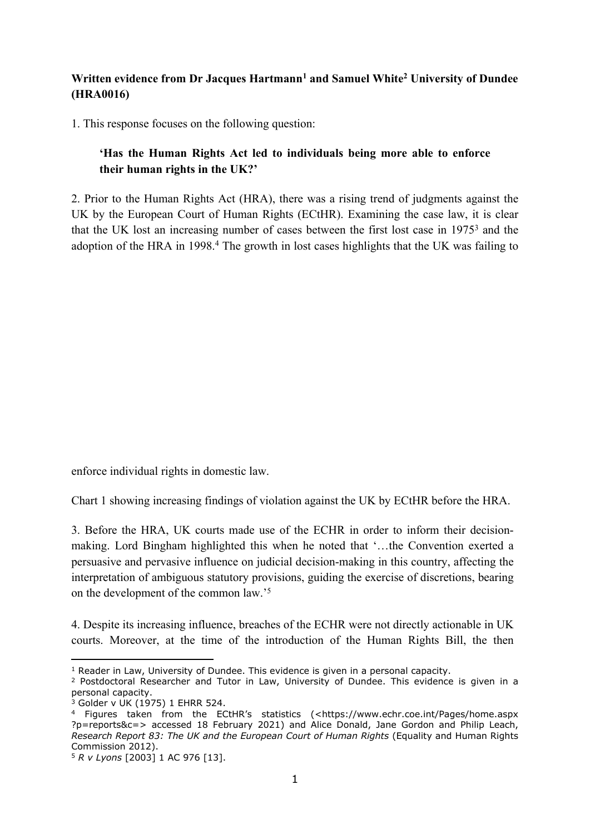## **Written evidence from Dr Jacques Hartmann<sup>1</sup> and Samuel White<sup>2</sup> University of Dundee (HRA0016)**

1. This response focuses on the following question:

## **'Has the Human Rights Act led to individuals being more able to enforce their human rights in the UK?'**

2. Prior to the Human Rights Act (HRA), there was a rising trend of judgments against the UK by the European Court of Human Rights (ECtHR). Examining the case law, it is clear that the UK lost an increasing number of cases between the first lost case in 1975<sup>3</sup> and the adoption of the HRA in 1998.<sup>4</sup> The growth in lost cases highlights that the UK was failing to

enforce individual rights in domestic law.

Chart 1 showing increasing findings of violation against the UK by ECtHR before the HRA.

3. Before the HRA, UK courts made use of the ECHR in order to inform their decisionmaking. Lord Bingham highlighted this when he noted that '…the Convention exerted a persuasive and pervasive influence on judicial decision-making in this country, affecting the interpretation of ambiguous statutory provisions, guiding the exercise of discretions, bearing on the development of the common law.'<sup>5</sup>

4. Despite its increasing influence, breaches of the ECHR were not directly actionable in UK courts. Moreover, at the time of the introduction of the Human Rights Bill, the then

 $1$  Reader in Law, University of Dundee. This evidence is given in a personal capacity.

<sup>&</sup>lt;sup>2</sup> Postdoctoral Researcher and Tutor in Law, University of Dundee. This evidence is given in a personal capacity.

<sup>3</sup> Golder v UK (1975) 1 EHRR 524.

<sup>4</sup> Figures taken from the ECtHR's statistics (<https://www.echr.coe.int/Pages/home.aspx ?p=reports&c=> accessed 18 February 2021) and Alice Donald, Jane Gordon and Philip Leach, *Research Report 83: The UK and the European Court of Human Rights* (Equality and Human Rights Commission 2012).

<sup>5</sup> *R v Lyons* [2003] 1 AC 976 [13].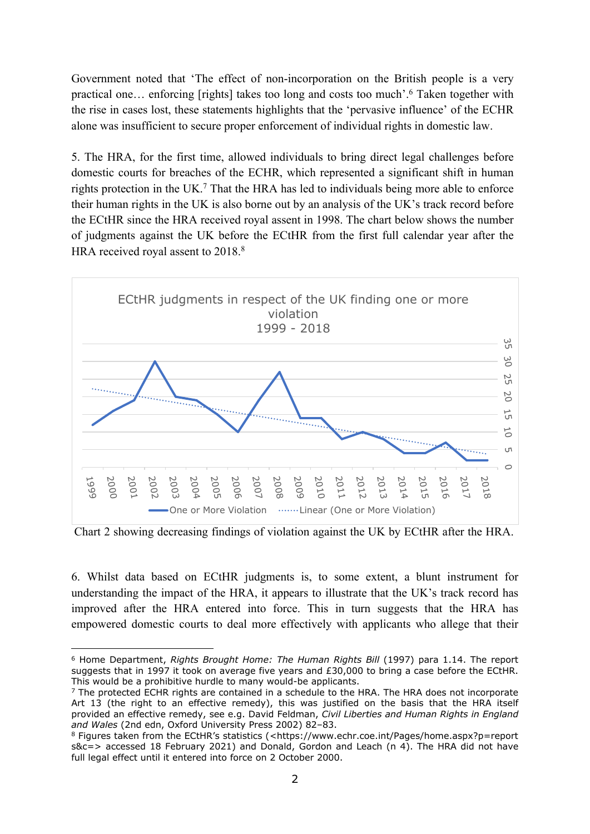Government noted that 'The effect of non-incorporation on the British people is a very practical one… enforcing [rights] takes too long and costs too much'.<sup>6</sup> Taken together with the rise in cases lost, these statements highlights that the 'pervasive influence' of the ECHR alone was insufficient to secure proper enforcement of individual rights in domestic law.

5. The HRA, for the first time, allowed individuals to bring direct legal challenges before domestic courts for breaches of the ECHR, which represented a significant shift in human rights protection in the UK.<sup>7</sup> That the HRA has led to individuals being more able to enforce their human rights in the UK is also borne out by an analysis of the UK's track record before the ECtHR since the HRA received royal assent in 1998. The chart below shows the number of judgments against the UK before the ECtHR from the first full calendar year after the HRA received royal assent to 2018.<sup>8</sup>



Chart 2 showing decreasing findings of violation against the UK by ECtHR after the HRA.

6. Whilst data based on ECtHR judgments is, to some extent, a blunt instrument for understanding the impact of the HRA, it appears to illustrate that the UK's track record has improved after the HRA entered into force. This in turn suggests that the HRA has empowered domestic courts to deal more effectively with applicants who allege that their

<sup>6</sup> Home Department, *Rights Brought Home: The Human Rights Bill* (1997) para 1.14. The report suggests that in 1997 it took on average five years and £30,000 to bring a case before the ECtHR. This would be a prohibitive hurdle to many would-be applicants.

 $7$  The protected ECHR rights are contained in a schedule to the HRA. The HRA does not incorporate Art 13 (the right to an effective remedy), this was justified on the basis that the HRA itself provided an effective remedy, see e.g. David Feldman, *Civil Liberties and Human Rights in England and Wales* (2nd edn, Oxford University Press 2002) 82–83.

<sup>8</sup> Figures taken from the ECtHR's statistics (<https://www.echr.coe.int/Pages/home.aspx?p=report s&c=> accessed 18 February 2021) and Donald, Gordon and Leach (n 4). The HRA did not have full legal effect until it entered into force on 2 October 2000.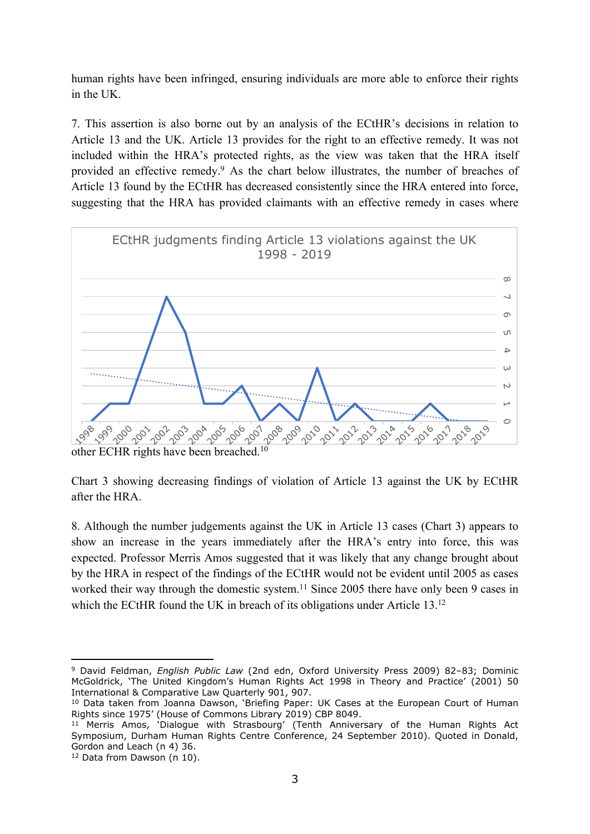human rights have been infringed, ensuring individuals are more able to enforce their rights in the UK.

7. This assertion is also borne out by an analysis of the ECtHR's decisions in relation to Article 13 and the UK. Article 13 provides for the right to an effective remedy. It was not included within the HRA's protected rights, as the view was taken that the HRA itself provided an effective remedy.<sup>9</sup> As the chart below illustrates, the number of breaches of Article 13 found by the ECtHR has decreased consistently since the HRA entered into force, suggesting that the HRA has provided claimants with an effective remedy in cases where



other ECHR rights have been breached.<sup>10</sup>

Chart 3 showing decreasing findings of violation of Article 13 against the UK by ECtHR after the HRA.

8. Although the number judgements against the UK in Article 13 cases (Chart 3) appears to show an increase in the years immediately after the HRA's entry into force, this was expected. Professor Merris Amos suggested that it was likely that any change brought about by the HRA in respect of the findings of the ECtHR would not be evident until 2005 as cases worked their way through the domestic system.<sup>11</sup> Since 2005 there have only been 9 cases in which the ECtHR found the UK in breach of its obligations under Article 13.<sup>12</sup>

<sup>9</sup> David Feldman, *English Public Law* (2nd edn, Oxford University Press 2009) 82–83; Dominic McGoldrick, 'The United Kingdom's Human Rights Act 1998 in Theory and Practice' (2001) 50 International & Comparative Law Quarterly 901, 907.

<sup>10</sup> Data taken from Joanna Dawson, 'Briefing Paper: UK Cases at the European Court of Human Rights since 1975' (House of Commons Library 2019) CBP 8049.

<sup>&</sup>lt;sup>11</sup> Merris Amos, 'Dialogue with Strasbourg' (Tenth Anniversary of the Human Rights Act Symposium, Durham Human Rights Centre Conference, 24 September 2010). Quoted in Donald, Gordon and Leach (n 4) 36.

<sup>&</sup>lt;sup>12</sup> Data from Dawson (n 10).